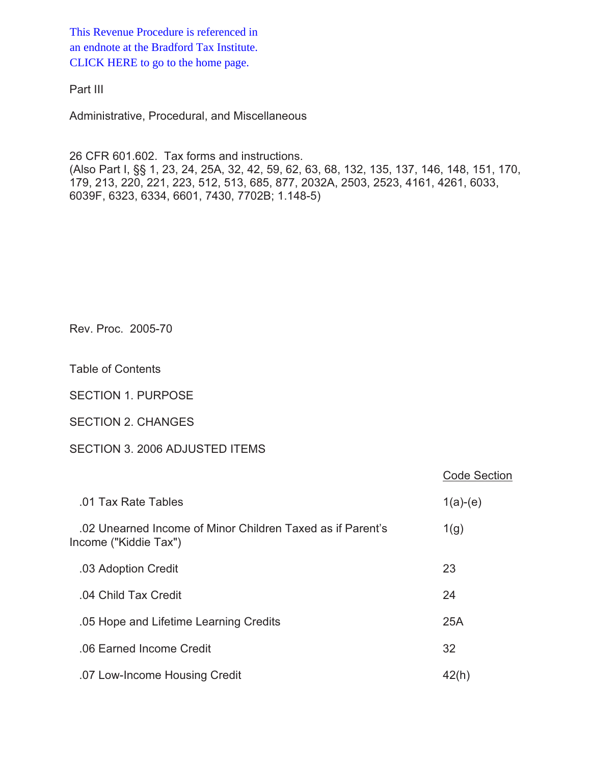This Revenue Procedure is referenced in [an endnote at the Bradford Tax Institute.](http://www.bradfordtaxinstitute.com/)  CLICK HERE to go to the home page.

Part III

Administrative, Procedural, and Miscellaneous

26 CFR 601.602. Tax forms and instructions. (Also Part I, §§ 1, 23, 24, 25A, 32, 42, 59, 62, 63, 68, 132, 135, 137, 146, 148, 151, 170, 179, 213, 220, 221, 223, 512, 513, 685, 877, 2032A, 2503, 2523, 4161, 4261, 6033, 6039F, 6323, 6334, 6601, 7430, 7702B; 1.148-5)

Rev. Proc. 2005-70

Table of Contents

SECTION 1. PURPOSE

SECTION 2. CHANGES

# SECTION 3. 2006 ADJUSTED ITEMS

|                                                                                     | <b>Code Section</b> |
|-------------------------------------------------------------------------------------|---------------------|
| .01 Tax Rate Tables                                                                 | $1(a)-(e)$          |
| .02 Unearned Income of Minor Children Taxed as if Parent's<br>Income ("Kiddie Tax") | 1(g)                |
| .03 Adoption Credit                                                                 | 23                  |
| .04 Child Tax Credit                                                                | 24                  |
| .05 Hope and Lifetime Learning Credits                                              | 25A                 |
| .06 Earned Income Credit                                                            | 32                  |
| .07 Low-Income Housing Credit                                                       | 42(h)               |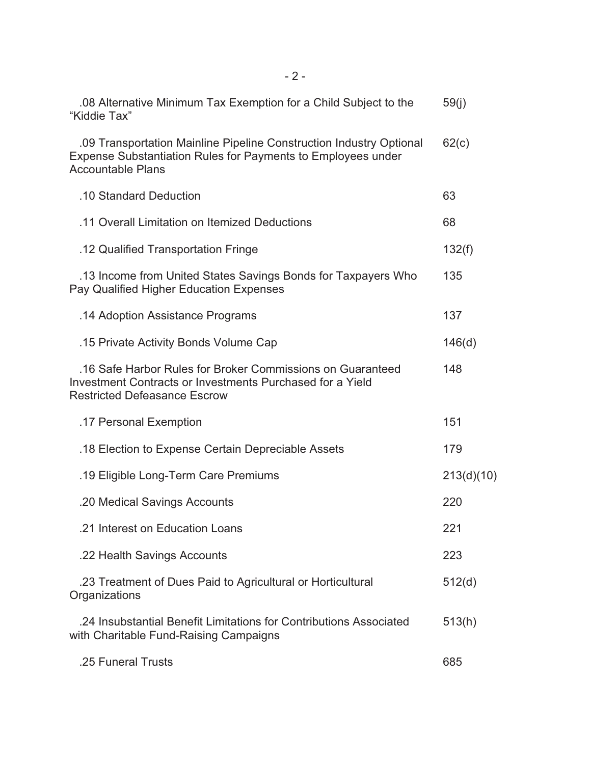| .08 Alternative Minimum Tax Exemption for a Child Subject to the<br>"Kiddie Tax"                                                                                | 59(j)      |
|-----------------------------------------------------------------------------------------------------------------------------------------------------------------|------------|
| .09 Transportation Mainline Pipeline Construction Industry Optional<br>Expense Substantiation Rules for Payments to Employees under<br><b>Accountable Plans</b> | 62(c)      |
| .10 Standard Deduction                                                                                                                                          | 63         |
| .11 Overall Limitation on Itemized Deductions                                                                                                                   | 68         |
| .12 Qualified Transportation Fringe                                                                                                                             | 132(f)     |
| .13 Income from United States Savings Bonds for Taxpayers Who<br>Pay Qualified Higher Education Expenses                                                        | 135        |
| .14 Adoption Assistance Programs                                                                                                                                | 137        |
| .15 Private Activity Bonds Volume Cap                                                                                                                           | 146(d)     |
| .16 Safe Harbor Rules for Broker Commissions on Guaranteed<br>Investment Contracts or Investments Purchased for a Yield<br><b>Restricted Defeasance Escrow</b>  | 148        |
| .17 Personal Exemption                                                                                                                                          | 151        |
| .18 Election to Expense Certain Depreciable Assets                                                                                                              | 179        |
| .19 Eligible Long-Term Care Premiums                                                                                                                            | 213(d)(10) |
| .20 Medical Savings Accounts                                                                                                                                    | 220        |
| .21 Interest on Education Loans                                                                                                                                 | 221        |
| .22 Health Savings Accounts                                                                                                                                     | 223        |
| .23 Treatment of Dues Paid to Agricultural or Horticultural<br>Organizations                                                                                    | 512(d)     |
| .24 Insubstantial Benefit Limitations for Contributions Associated<br>with Charitable Fund-Raising Campaigns                                                    | 513(h)     |
| .25 Funeral Trusts                                                                                                                                              | 685        |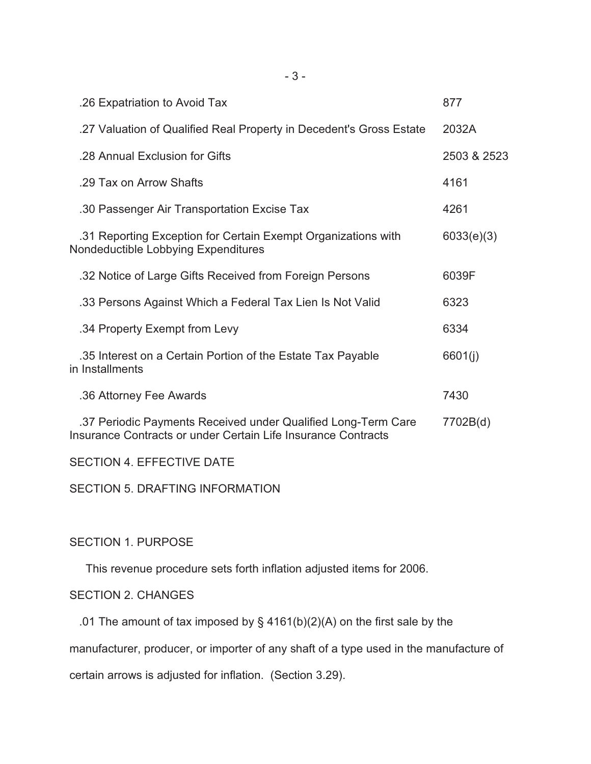| .26 Expatriation to Avoid Tax                                                                                                  | 877         |
|--------------------------------------------------------------------------------------------------------------------------------|-------------|
| .27 Valuation of Qualified Real Property in Decedent's Gross Estate                                                            | 2032A       |
| .28 Annual Exclusion for Gifts                                                                                                 | 2503 & 2523 |
| .29 Tax on Arrow Shafts                                                                                                        | 4161        |
| .30 Passenger Air Transportation Excise Tax                                                                                    | 4261        |
| .31 Reporting Exception for Certain Exempt Organizations with<br>Nondeductible Lobbying Expenditures                           | 6033(e)(3)  |
| .32 Notice of Large Gifts Received from Foreign Persons                                                                        | 6039F       |
| .33 Persons Against Which a Federal Tax Lien Is Not Valid                                                                      | 6323        |
| .34 Property Exempt from Levy                                                                                                  | 6334        |
| .35 Interest on a Certain Portion of the Estate Tax Payable<br>in Installments                                                 | 6601(i)     |
| .36 Attorney Fee Awards                                                                                                        | 7430        |
| .37 Periodic Payments Received under Qualified Long-Term Care<br>Insurance Contracts or under Certain Life Insurance Contracts | 7702B(d)    |
|                                                                                                                                |             |

SECTION 4. EFFECTIVE DATE

SECTION 5. DRAFTING INFORMATION

# SECTION 1. PURPOSE

This revenue procedure sets forth inflation adjusted items for 2006.

# SECTION 2. CHANGES

.01 The amount of tax imposed by  $\S$  4161(b)(2)(A) on the first sale by the

manufacturer, producer, or importer of any shaft of a type used in the manufacture of

certain arrows is adjusted for inflation. (Section 3.29).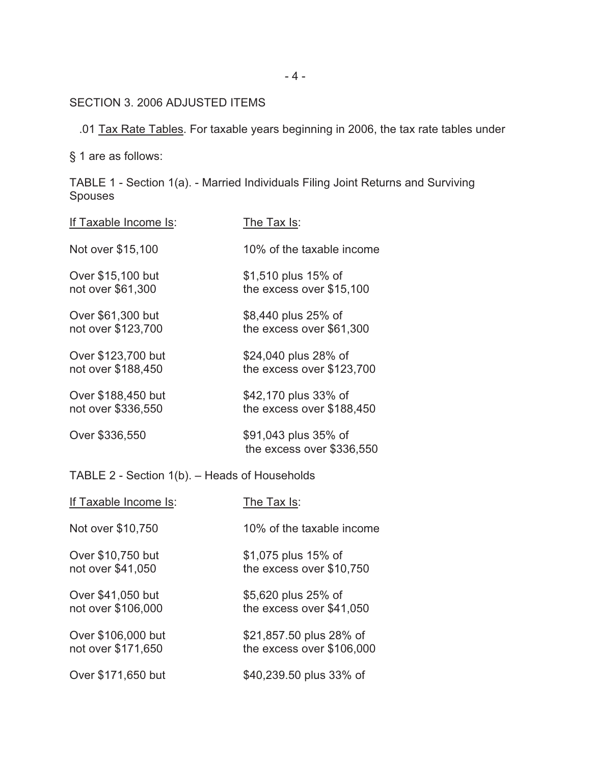SECTION 3. 2006 ADJUSTED ITEMS

.01 Tax Rate Tables. For taxable years beginning in 2006, the tax rate tables under

§ 1 are as follows:

TABLE 1 - Section 1(a). - Married Individuals Filing Joint Returns and Surviving Spouses

| If Taxable Income Is: | The Tax Is:                                       |
|-----------------------|---------------------------------------------------|
| Not over \$15,100     | 10% of the taxable income                         |
| Over \$15,100 but     | \$1,510 plus 15% of                               |
| not over \$61,300     | the excess over \$15,100                          |
| Over \$61,300 but     | \$8,440 plus 25% of                               |
| not over \$123,700    | the excess over \$61,300                          |
| Over \$123,700 but    | \$24,040 plus 28% of                              |
| not over \$188,450    | the excess over \$123,700                         |
| Over \$188,450 but    | \$42,170 plus 33% of                              |
| not over \$336,550    | the excess over \$188,450                         |
| Over \$336,550        | \$91,043 plus 35% of<br>the excess over \$336,550 |

TABLE 2 - Section 1(b). – Heads of Households

| If Taxable Income Is: | The Tax Is:               |
|-----------------------|---------------------------|
| Not over \$10,750     | 10% of the taxable income |
| Over \$10,750 but     | \$1,075 plus 15% of       |
| not over \$41,050     | the excess over \$10,750  |
| Over \$41,050 but     | \$5,620 plus 25% of       |
| not over \$106,000    | the excess over \$41,050  |
| Over \$106,000 but    | \$21,857.50 plus 28% of   |
| not over \$171,650    | the excess over \$106,000 |
| Over \$171,650 but    | \$40,239.50 plus 33% of   |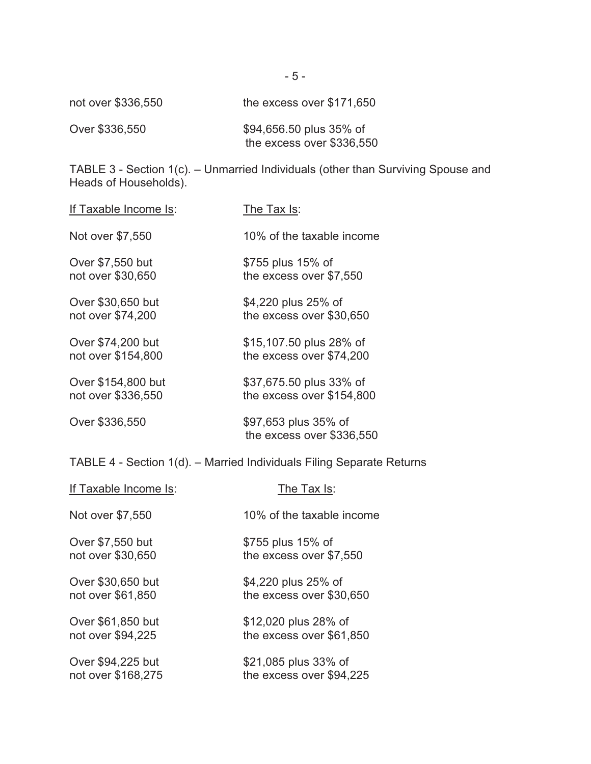| not over \$336,550 | the excess over $$171,650$ |
|--------------------|----------------------------|
| Over \$336,550     | \$94,656.50 plus 35% of    |

TABLE 3 - Section 1(c). – Unmarried Individuals (other than Surviving Spouse and Heads of Households).

| If Taxable Income Is:                                         | The Tax Is:                                          |  |
|---------------------------------------------------------------|------------------------------------------------------|--|
| Not over \$7,550                                              | 10% of the taxable income                            |  |
| Over \$7,550 but<br>not over \$30,650                         | \$755 plus 15% of<br>the excess over \$7,550         |  |
| Over \$30,650 but<br>not over \$74,200                        | \$4,220 plus 25% of<br>the excess over \$30,650      |  |
| Over \$74,200 but<br>not over \$154,800                       | \$15,107.50 plus 28% of<br>the excess over \$74,200  |  |
| Over \$154,800 but<br>not over \$336,550                      | \$37,675.50 plus 33% of<br>the excess over \$154,800 |  |
| Over \$336,550                                                | \$97,653 plus 35% of<br>the excess over \$336,550    |  |
| TABLE 4 - Section 1(d). - Married Individuals Filing Separate |                                                      |  |
| If Taxable Income Is:                                         | The Tax Is:                                          |  |
| Not over \$7,550                                              | 10% of the taxable income                            |  |
| Over \$7,550 but<br>not over \$30,650                         | \$755 plus 15% of<br>the excess over \$7,550         |  |
|                                                               |                                                      |  |

Over \$30,650 but \$4,220 plus 25% of<br>not over \$61,850 the excess over \$30 the excess over \$30,650

Over \$61,850 but \$12,020 plus 28% of not over \$94,225 the excess over \$61,850

Over \$94,225 but \$21,085 plus 33% of<br>
not over \$168,275 the excess over \$94, the excess over \$94,225

the excess over \$336,550

Returns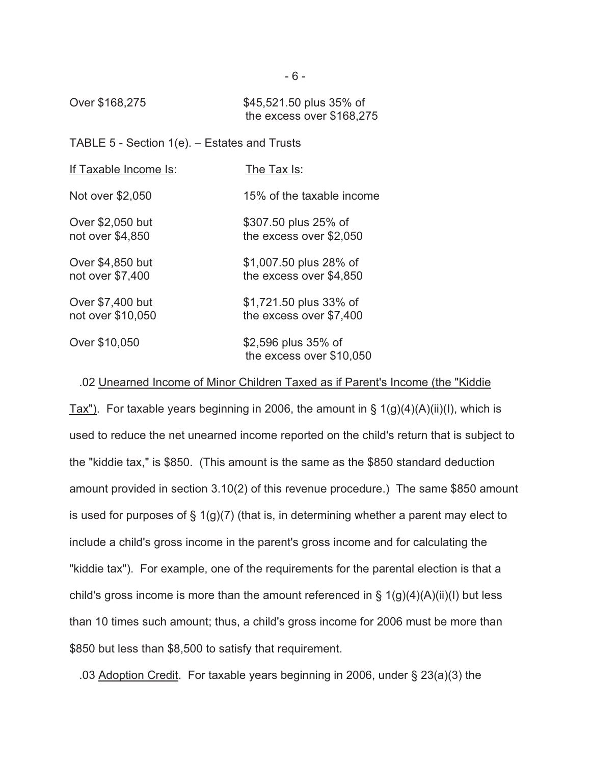Over \$168,275 \$45,521.50 plus 35% of the excess over \$168,275

# TABLE 5 - Section 1(e). – Estates and Trusts

| If Taxable Income Is: | The Tax Is:                                     |
|-----------------------|-------------------------------------------------|
| Not over \$2,050      | 15% of the taxable income                       |
| Over \$2,050 but      | \$307.50 plus 25% of                            |
| not over \$4,850      | the excess over \$2,050                         |
| Over \$4,850 but      | \$1,007.50 plus 28% of                          |
| not over \$7,400      | the excess over \$4,850                         |
| Over \$7,400 but      | \$1,721.50 plus 33% of                          |
| not over \$10,050     | the excess over \$7,400                         |
| Over \$10,050         | \$2,596 plus 35% of<br>the excess over \$10,050 |

### .02 Unearned Income of Minor Children Taxed as if Parent's Income (the "Kiddie

Tax"). For taxable years beginning in 2006, the amount in  $\S$  1(g)(4)(A)(ii)(I), which is used to reduce the net unearned income reported on the child's return that is subject to the "kiddie tax," is \$850. (This amount is the same as the \$850 standard deduction amount provided in section 3.10(2) of this revenue procedure.) The same \$850 amount is used for purposes of  $\S 1(g)(7)$  (that is, in determining whether a parent may elect to include a child's gross income in the parent's gross income and for calculating the "kiddie tax"). For example, one of the requirements for the parental election is that a child's gross income is more than the amount referenced in  $\S 1(g)(4)(A)(ii)(I)$  but less than 10 times such amount; thus, a child's gross income for 2006 must be more than \$850 but less than \$8,500 to satisfy that requirement.

.03 Adoption Credit. For taxable years beginning in 2006, under § 23(a)(3) the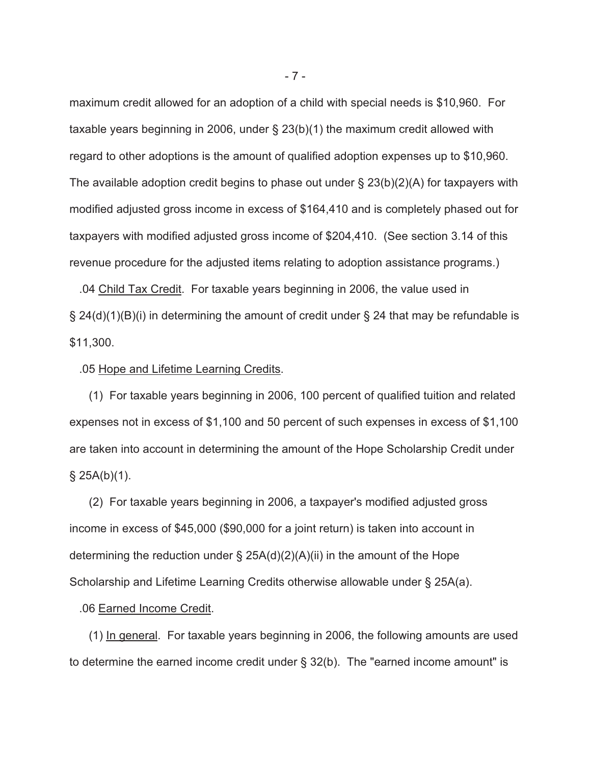maximum credit allowed for an adoption of a child with special needs is \$10,960. For taxable years beginning in 2006, under § 23(b)(1) the maximum credit allowed with regard to other adoptions is the amount of qualified adoption expenses up to \$10,960. The available adoption credit begins to phase out under  $\S$  23(b)(2)(A) for taxpayers with modified adjusted gross income in excess of \$164,410 and is completely phased out for taxpayers with modified adjusted gross income of \$204,410. (See section 3.14 of this revenue procedure for the adjusted items relating to adoption assistance programs.)

 .04 Child Tax Credit. For taxable years beginning in 2006, the value used in  $\S 24(d)(1)(B)(i)$  in determining the amount of credit under  $\S 24$  that may be refundable is \$11,300.

#### .05 Hope and Lifetime Learning Credits.

 (1) For taxable years beginning in 2006, 100 percent of qualified tuition and related expenses not in excess of \$1,100 and 50 percent of such expenses in excess of \$1,100 are taken into account in determining the amount of the Hope Scholarship Credit under  $§$  25A(b)(1).

 (2) For taxable years beginning in 2006, a taxpayer's modified adjusted gross income in excess of \$45,000 (\$90,000 for a joint return) is taken into account in determining the reduction under  $\S$  25A(d)(2)(A)(ii) in the amount of the Hope Scholarship and Lifetime Learning Credits otherwise allowable under § 25A(a).

### .06 Earned Income Credit.

 (1) In general. For taxable years beginning in 2006, the following amounts are used to determine the earned income credit under § 32(b). The "earned income amount" is

- 7 -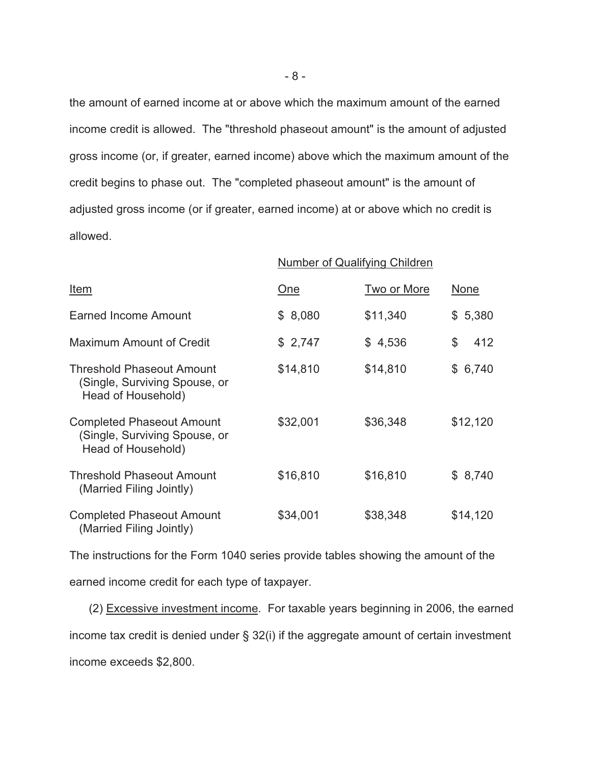the amount of earned income at or above which the maximum amount of the earned income credit is allowed. The "threshold phaseout amount" is the amount of adjusted gross income (or, if greater, earned income) above which the maximum amount of the credit begins to phase out. The "completed phaseout amount" is the amount of adjusted gross income (or if greater, earned income) at or above which no credit is allowed.

|                                                                                         | <b>Number of Qualifying Children</b> |             |             |
|-----------------------------------------------------------------------------------------|--------------------------------------|-------------|-------------|
| <u>Item</u>                                                                             | <u>One</u>                           | Two or More | <u>None</u> |
| <b>Earned Income Amount</b>                                                             | \$8,080                              | \$11,340    | \$5,380     |
| <b>Maximum Amount of Credit</b>                                                         | \$2,747                              | \$4,536     | \$<br>412   |
| <b>Threshold Phaseout Amount</b><br>(Single, Surviving Spouse, or<br>Head of Household) | \$14,810                             | \$14,810    | \$6,740     |
| <b>Completed Phaseout Amount</b><br>(Single, Surviving Spouse, or<br>Head of Household) | \$32,001                             | \$36,348    | \$12,120    |
| <b>Threshold Phaseout Amount</b><br>(Married Filing Jointly)                            | \$16,810                             | \$16,810    | \$8,740     |
| <b>Completed Phaseout Amount</b><br>(Married Filing Jointly)                            | \$34,001                             | \$38,348    | \$14,120    |

The instructions for the Form 1040 series provide tables showing the amount of the earned income credit for each type of taxpayer.

 (2) Excessive investment income. For taxable years beginning in 2006, the earned income tax credit is denied under § 32(i) if the aggregate amount of certain investment income exceeds \$2,800.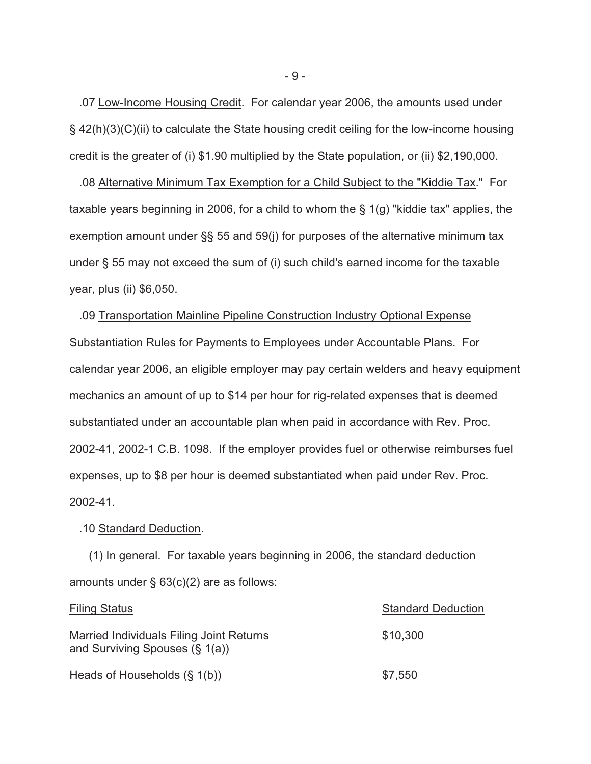.07 Low-Income Housing Credit. For calendar year 2006, the amounts used under § 42(h)(3)(C)(ii) to calculate the State housing credit ceiling for the low-income housing credit is the greater of (i) \$1.90 multiplied by the State population, or (ii) \$2,190,000.

 .08 Alternative Minimum Tax Exemption for a Child Subject to the "Kiddie Tax." For taxable years beginning in 2006, for a child to whom the § 1(g) "kiddie tax" applies, the exemption amount under §§ 55 and 59(j) for purposes of the alternative minimum tax under § 55 may not exceed the sum of (i) such child's earned income for the taxable year, plus (ii) \$6,050.

 .09 Transportation Mainline Pipeline Construction Industry Optional Expense Substantiation Rules for Payments to Employees under Accountable Plans. For calendar year 2006, an eligible employer may pay certain welders and heavy equipment mechanics an amount of up to \$14 per hour for rig-related expenses that is deemed substantiated under an accountable plan when paid in accordance with Rev. Proc. 2002-41, 2002-1 C.B. 1098. If the employer provides fuel or otherwise reimburses fuel expenses, up to \$8 per hour is deemed substantiated when paid under Rev. Proc. 2002-41.

### .10 Standard Deduction.

 (1) In general. For taxable years beginning in 2006, the standard deduction amounts under § 63(c)(2) are as follows:

| <b>Filing Status</b>                                                          | <b>Standard Deduction</b> |  |
|-------------------------------------------------------------------------------|---------------------------|--|
| Married Individuals Filing Joint Returns<br>and Surviving Spouses $(\S 1(a))$ | \$10,300                  |  |
| Heads of Households $(\S 1(b))$                                               | \$7,550                   |  |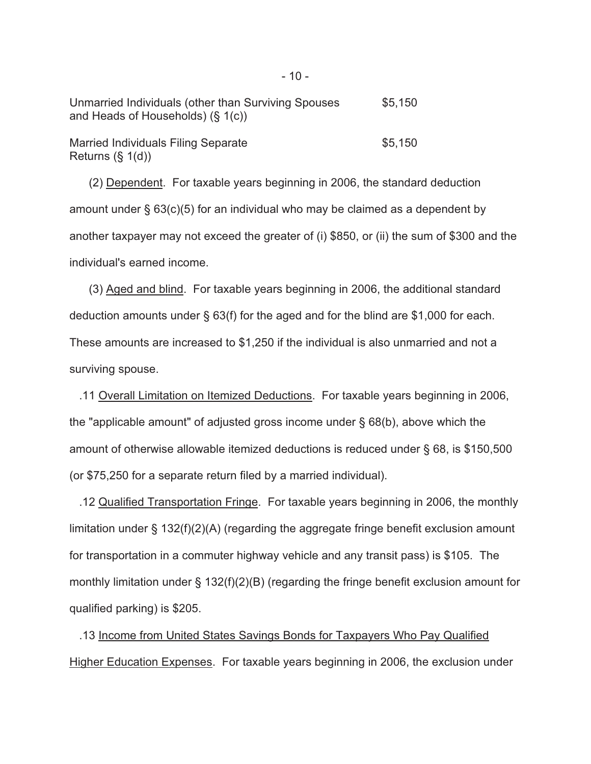| Unmarried Individuals (other than Surviving Spouses<br>and Heads of Households) $(\S 1(c))$ | \$5.150 |
|---------------------------------------------------------------------------------------------|---------|
| <b>Married Individuals Filing Separate</b><br>Returns $(\S 1(d))$                           | \$5.150 |

 (2) Dependent. For taxable years beginning in 2006, the standard deduction amount under § 63(c)(5) for an individual who may be claimed as a dependent by another taxpayer may not exceed the greater of (i) \$850, or (ii) the sum of \$300 and the individual's earned income.

 (3) Aged and blind. For taxable years beginning in 2006, the additional standard deduction amounts under § 63(f) for the aged and for the blind are \$1,000 for each. These amounts are increased to \$1,250 if the individual is also unmarried and not a surviving spouse.

 .11 Overall Limitation on Itemized Deductions. For taxable years beginning in 2006, the "applicable amount" of adjusted gross income under § 68(b), above which the amount of otherwise allowable itemized deductions is reduced under § 68, is \$150,500 (or \$75,250 for a separate return filed by a married individual).

 .12 Qualified Transportation Fringe. For taxable years beginning in 2006, the monthly limitation under § 132(f)(2)(A) (regarding the aggregate fringe benefit exclusion amount for transportation in a commuter highway vehicle and any transit pass) is \$105. The monthly limitation under § 132(f)(2)(B) (regarding the fringe benefit exclusion amount for qualified parking) is \$205.

 .13 Income from United States Savings Bonds for Taxpayers Who Pay Qualified Higher Education Expenses. For taxable years beginning in 2006, the exclusion under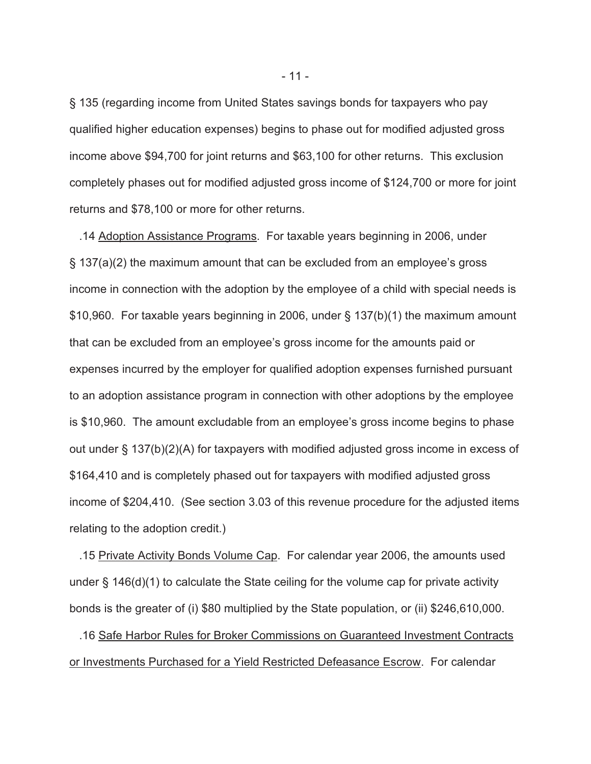§ 135 (regarding income from United States savings bonds for taxpayers who pay qualified higher education expenses) begins to phase out for modified adjusted gross income above \$94,700 for joint returns and \$63,100 for other returns. This exclusion completely phases out for modified adjusted gross income of \$124,700 or more for joint returns and \$78,100 or more for other returns.

 .14 Adoption Assistance Programs. For taxable years beginning in 2006, under § 137(a)(2) the maximum amount that can be excluded from an employee's gross income in connection with the adoption by the employee of a child with special needs is \$10,960. For taxable years beginning in 2006, under § 137(b)(1) the maximum amount that can be excluded from an employee's gross income for the amounts paid or expenses incurred by the employer for qualified adoption expenses furnished pursuant to an adoption assistance program in connection with other adoptions by the employee is \$10,960. The amount excludable from an employee's gross income begins to phase out under § 137(b)(2)(A) for taxpayers with modified adjusted gross income in excess of \$164,410 and is completely phased out for taxpayers with modified adjusted gross income of \$204,410. (See section 3.03 of this revenue procedure for the adjusted items relating to the adoption credit.)

 .15 Private Activity Bonds Volume Cap. For calendar year 2006, the amounts used under § 146(d)(1) to calculate the State ceiling for the volume cap for private activity bonds is the greater of (i) \$80 multiplied by the State population, or (ii) \$246,610,000.

 .16 Safe Harbor Rules for Broker Commissions on Guaranteed Investment Contracts or Investments Purchased for a Yield Restricted Defeasance Escrow. For calendar

- 11 -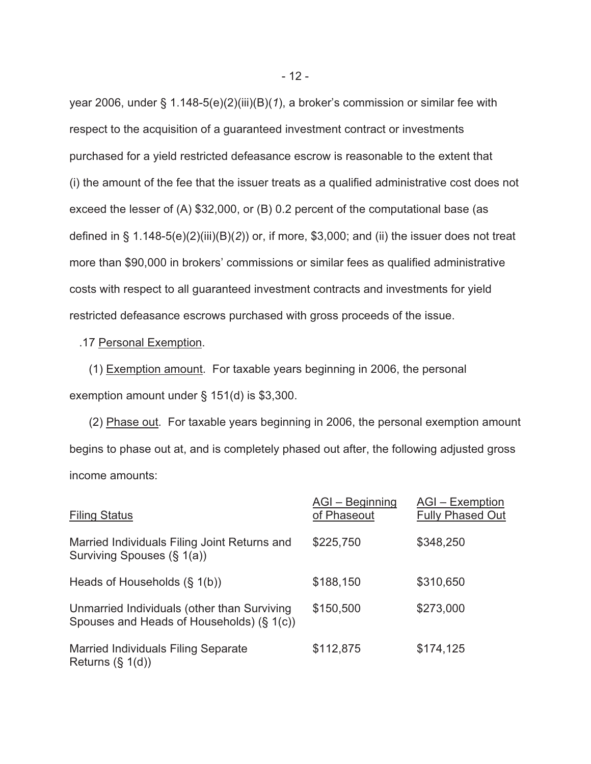year 2006, under § 1.148-5(e)(2)(iii)(B)(*1*), a broker's commission or similar fee with respect to the acquisition of a guaranteed investment contract or investments purchased for a yield restricted defeasance escrow is reasonable to the extent that (i) the amount of the fee that the issuer treats as a qualified administrative cost does not exceed the lesser of (A) \$32,000, or (B) 0.2 percent of the computational base (as defined in § 1.148-5(e)(2)(iii)(B)(*2*)) or, if more, \$3,000; and (ii) the issuer does not treat more than \$90,000 in brokers' commissions or similar fees as qualified administrative costs with respect to all guaranteed investment contracts and investments for yield restricted defeasance escrows purchased with gross proceeds of the issue.

.17 Personal Exemption.

 (1) Exemption amount. For taxable years beginning in 2006, the personal exemption amount under § 151(d) is \$3,300.

 (2) Phase out. For taxable years beginning in 2006, the personal exemption amount begins to phase out at, and is completely phased out after, the following adjusted gross income amounts:

| <b>Filing Status</b>                                                                     | AGI - Beginning<br>of Phaseout | AGI - Exemption<br><b>Fully Phased Out</b> |
|------------------------------------------------------------------------------------------|--------------------------------|--------------------------------------------|
| Married Individuals Filing Joint Returns and<br>Surviving Spouses (§ 1(a))               | \$225,750                      | \$348,250                                  |
| Heads of Households $(\S 1(b))$                                                          | \$188,150                      | \$310,650                                  |
| Unmarried Individuals (other than Surviving<br>Spouses and Heads of Households) (§ 1(c)) | \$150,500                      | \$273,000                                  |
| <b>Married Individuals Filing Separate</b><br>Returns $(\S 1(d))$                        | \$112,875                      | \$174,125                                  |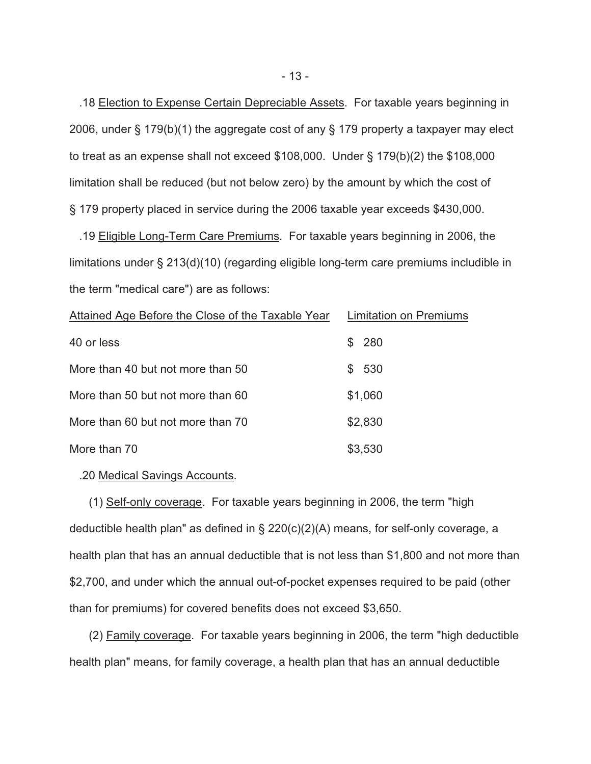.18 Election to Expense Certain Depreciable Assets. For taxable years beginning in 2006, under § 179(b)(1) the aggregate cost of any § 179 property a taxpayer may elect to treat as an expense shall not exceed \$108,000. Under § 179(b)(2) the \$108,000 limitation shall be reduced (but not below zero) by the amount by which the cost of § 179 property placed in service during the 2006 taxable year exceeds \$430,000.

 .19 Eligible Long-Term Care Premiums. For taxable years beginning in 2006, the limitations under § 213(d)(10) (regarding eligible long-term care premiums includible in the term "medical care") are as follows:

| Attained Age Before the Close of the Taxable Year | <b>Limitation on Premiums</b> |
|---------------------------------------------------|-------------------------------|
| 40 or less                                        | \$280                         |
| More than 40 but not more than 50                 | \$ 530                        |
| More than 50 but not more than 60                 | \$1,060                       |
| More than 60 but not more than 70                 | \$2,830                       |
| More than 70                                      | \$3,530                       |

## .20 Medical Savings Accounts.

 (1) Self-only coverage. For taxable years beginning in 2006, the term "high deductible health plan" as defined in § 220(c)(2)(A) means, for self-only coverage, a health plan that has an annual deductible that is not less than \$1,800 and not more than \$2,700, and under which the annual out-of-pocket expenses required to be paid (other than for premiums) for covered benefits does not exceed \$3,650.

 (2) Family coverage. For taxable years beginning in 2006, the term "high deductible health plan" means, for family coverage, a health plan that has an annual deductible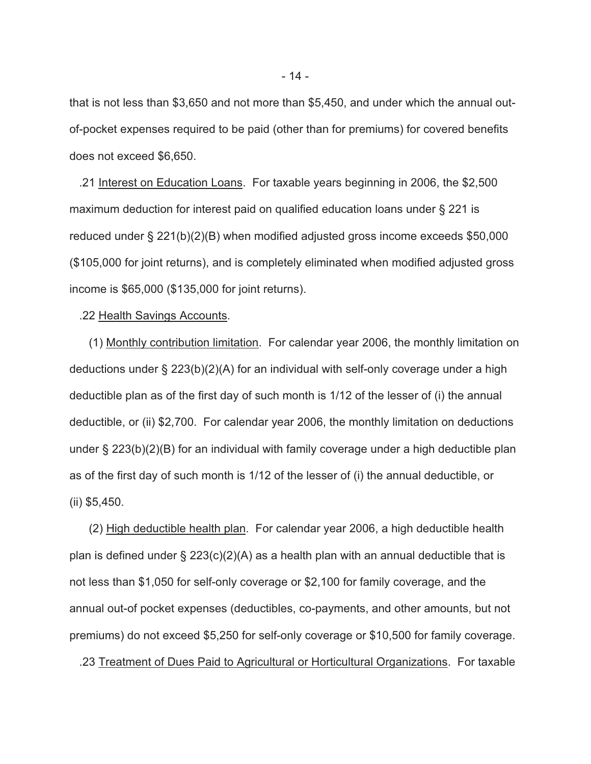that is not less than \$3,650 and not more than \$5,450, and under which the annual outof-pocket expenses required to be paid (other than for premiums) for covered benefits does not exceed \$6,650.

 .21 Interest on Education Loans. For taxable years beginning in 2006, the \$2,500 maximum deduction for interest paid on qualified education loans under § 221 is reduced under § 221(b)(2)(B) when modified adjusted gross income exceeds \$50,000 (\$105,000 for joint returns), and is completely eliminated when modified adjusted gross income is \$65,000 (\$135,000 for joint returns).

#### .22 Health Savings Accounts.

 (1) Monthly contribution limitation. For calendar year 2006, the monthly limitation on deductions under § 223(b)(2)(A) for an individual with self-only coverage under a high deductible plan as of the first day of such month is 1/12 of the lesser of (i) the annual deductible, or (ii) \$2,700. For calendar year 2006, the monthly limitation on deductions under § 223(b)(2)(B) for an individual with family coverage under a high deductible plan as of the first day of such month is 1/12 of the lesser of (i) the annual deductible, or (ii) \$5,450.

 (2) High deductible health plan. For calendar year 2006, a high deductible health plan is defined under  $\S 223(c)(2)(A)$  as a health plan with an annual deductible that is not less than \$1,050 for self-only coverage or \$2,100 for family coverage, and the annual out-of pocket expenses (deductibles, co-payments, and other amounts, but not premiums) do not exceed \$5,250 for self-only coverage or \$10,500 for family coverage.

.23 Treatment of Dues Paid to Agricultural or Horticultural Organizations. For taxable

- 14 -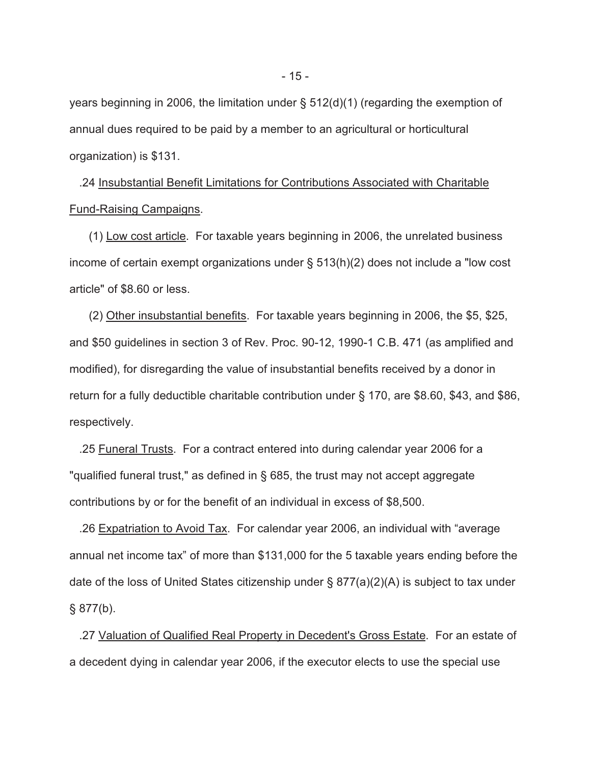years beginning in 2006, the limitation under § 512(d)(1) (regarding the exemption of annual dues required to be paid by a member to an agricultural or horticultural organization) is \$131.

 .24 Insubstantial Benefit Limitations for Contributions Associated with Charitable Fund-Raising Campaigns.

 (1) Low cost article. For taxable years beginning in 2006, the unrelated business income of certain exempt organizations under § 513(h)(2) does not include a "low cost article" of \$8.60 or less.

 (2) Other insubstantial benefits. For taxable years beginning in 2006, the \$5, \$25, and \$50 guidelines in section 3 of Rev. Proc. 90-12, 1990-1 C.B. 471 (as amplified and modified), for disregarding the value of insubstantial benefits received by a donor in return for a fully deductible charitable contribution under § 170, are \$8.60, \$43, and \$86, respectively.

 .25 Funeral Trusts. For a contract entered into during calendar year 2006 for a "qualified funeral trust," as defined in § 685, the trust may not accept aggregate contributions by or for the benefit of an individual in excess of \$8,500.

 .26 Expatriation to Avoid Tax. For calendar year 2006, an individual with "average annual net income tax" of more than \$131,000 for the 5 taxable years ending before the date of the loss of United States citizenship under § 877(a)(2)(A) is subject to tax under  $§ 877(b).$ 

 .27 Valuation of Qualified Real Property in Decedent's Gross Estate. For an estate of a decedent dying in calendar year 2006, if the executor elects to use the special use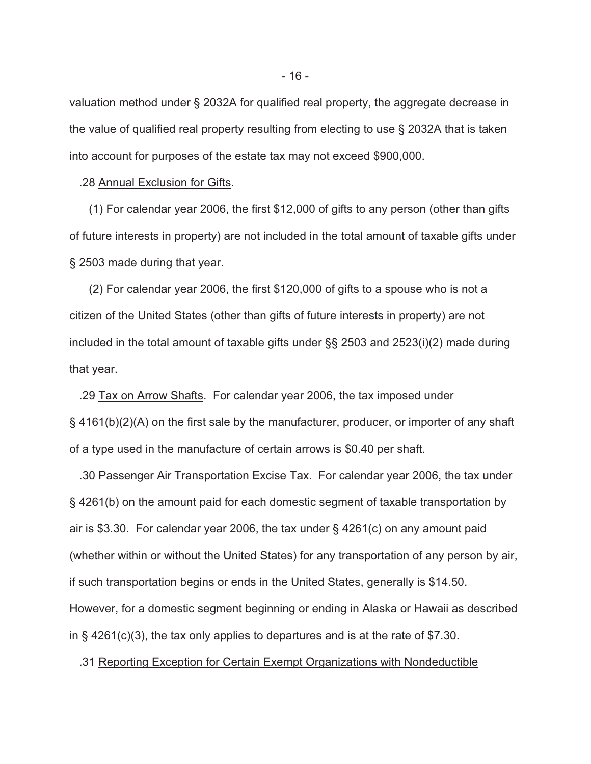valuation method under § 2032A for qualified real property, the aggregate decrease in the value of qualified real property resulting from electing to use § 2032A that is taken into account for purposes of the estate tax may not exceed \$900,000.

#### .28 Annual Exclusion for Gifts.

 (1) For calendar year 2006, the first \$12,000 of gifts to any person (other than gifts of future interests in property) are not included in the total amount of taxable gifts under § 2503 made during that year.

 (2) For calendar year 2006, the first \$120,000 of gifts to a spouse who is not a citizen of the United States (other than gifts of future interests in property) are not included in the total amount of taxable gifts under §§ 2503 and 2523(i)(2) made during that year.

 .29 Tax on Arrow Shafts. For calendar year 2006, the tax imposed under § 4161(b)(2)(A) on the first sale by the manufacturer, producer, or importer of any shaft of a type used in the manufacture of certain arrows is \$0.40 per shaft.

 .30 Passenger Air Transportation Excise Tax. For calendar year 2006, the tax under § 4261(b) on the amount paid for each domestic segment of taxable transportation by air is \$3.30. For calendar year 2006, the tax under § 4261(c) on any amount paid (whether within or without the United States) for any transportation of any person by air, if such transportation begins or ends in the United States, generally is \$14.50. However, for a domestic segment beginning or ending in Alaska or Hawaii as described in § 4261(c)(3), the tax only applies to departures and is at the rate of \$7.30.

#### .31 Reporting Exception for Certain Exempt Organizations with Nondeductible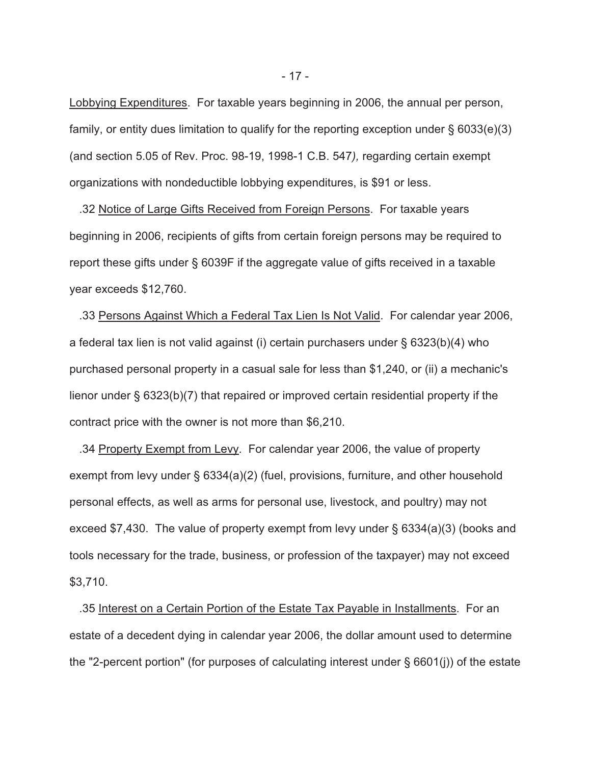Lobbying Expenditures. For taxable years beginning in 2006, the annual per person, family, or entity dues limitation to qualify for the reporting exception under  $\S$  6033(e)(3) (and section 5.05 of Rev. Proc. 98-19, 1998-1 C.B. 547*),* regarding certain exempt organizations with nondeductible lobbying expenditures, is \$91 or less.

 .32 Notice of Large Gifts Received from Foreign Persons. For taxable years beginning in 2006, recipients of gifts from certain foreign persons may be required to report these gifts under § 6039F if the aggregate value of gifts received in a taxable year exceeds \$12,760.

 .33 Persons Against Which a Federal Tax Lien Is Not Valid. For calendar year 2006, a federal tax lien is not valid against (i) certain purchasers under § 6323(b)(4) who purchased personal property in a casual sale for less than \$1,240, or (ii) a mechanic's lienor under § 6323(b)(7) that repaired or improved certain residential property if the contract price with the owner is not more than \$6,210.

 .34 Property Exempt from Levy. For calendar year 2006, the value of property exempt from levy under § 6334(a)(2) (fuel, provisions, furniture, and other household personal effects, as well as arms for personal use, livestock, and poultry) may not exceed \$7,430. The value of property exempt from levy under § 6334(a)(3) (books and tools necessary for the trade, business, or profession of the taxpayer) may not exceed \$3,710.

 .35 Interest on a Certain Portion of the Estate Tax Payable in Installments. For an estate of a decedent dying in calendar year 2006, the dollar amount used to determine the "2-percent portion" (for purposes of calculating interest under § 6601(j)) of the estate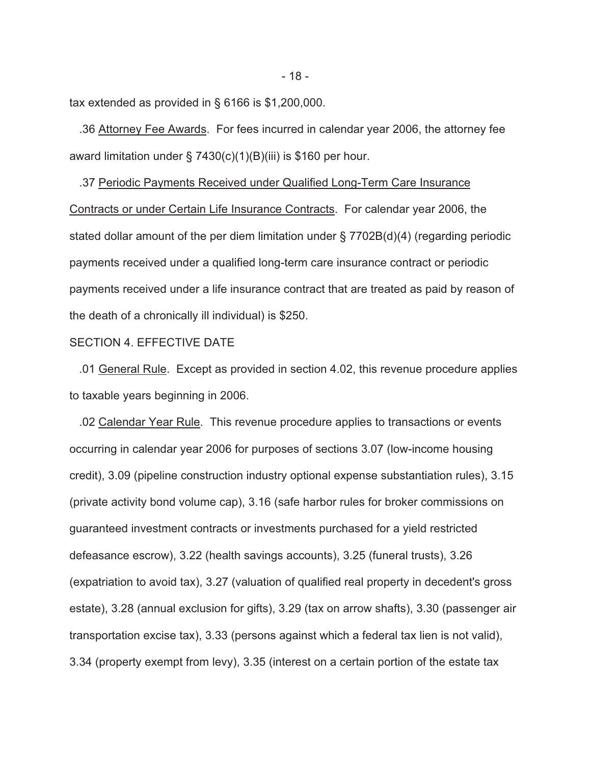tax extended as provided in § 6166 is \$1,200,000.

 .36 Attorney Fee Awards. For fees incurred in calendar year 2006, the attorney fee award limitation under § 7430(c)(1)(B)(iii) is \$160 per hour.

 .37 Periodic Payments Received under Qualified Long-Term Care Insurance Contracts or under Certain Life Insurance Contracts. For calendar year 2006, the stated dollar amount of the per diem limitation under § 7702B(d)(4) (regarding periodic payments received under a qualified long-term care insurance contract or periodic payments received under a life insurance contract that are treated as paid by reason of the death of a chronically ill individual) is \$250.

### SECTION 4. EFFECTIVE DATE

 .01 General Rule. Except as provided in section 4.02, this revenue procedure applies to taxable years beginning in 2006.

 .02 Calendar Year Rule. This revenue procedure applies to transactions or events occurring in calendar year 2006 for purposes of sections 3.07 (low-income housing credit), 3.09 (pipeline construction industry optional expense substantiation rules), 3.15 (private activity bond volume cap), 3.16 (safe harbor rules for broker commissions on guaranteed investment contracts or investments purchased for a yield restricted defeasance escrow), 3.22 (health savings accounts), 3.25 (funeral trusts), 3.26 (expatriation to avoid tax), 3.27 (valuation of qualified real property in decedent's gross estate), 3.28 (annual exclusion for gifts), 3.29 (tax on arrow shafts), 3.30 (passenger air transportation excise tax), 3.33 (persons against which a federal tax lien is not valid), 3.34 (property exempt from levy), 3.35 (interest on a certain portion of the estate tax

- 18 -